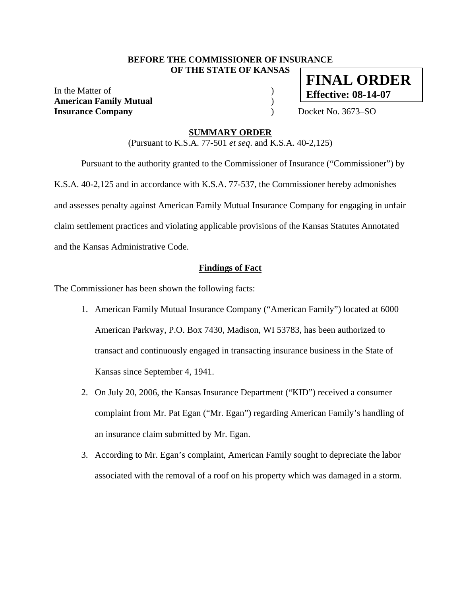#### **BEFORE THE COMMISSIONER OF INSURANCE OF THE STATE OF KANSAS**

In the Matter of  $\hspace{1.5cm}$  ) **American Family Mutual** ) **Insurance Company** ) Docket No. 3673–SO

# **FINAL ORDER Effective: 08-14-07**

### **SUMMARY ORDER**

(Pursuant to K.S.A. 77-501 *et seq*. and K.S.A. 40-2,125)

 Pursuant to the authority granted to the Commissioner of Insurance ("Commissioner") by K.S.A. 40-2,125 and in accordance with K.S.A. 77-537, the Commissioner hereby admonishes and assesses penalty against American Family Mutual Insurance Company for engaging in unfair claim settlement practices and violating applicable provisions of the Kansas Statutes Annotated and the Kansas Administrative Code.

#### **Findings of Fact**

The Commissioner has been shown the following facts:

- 1. American Family Mutual Insurance Company ("American Family") located at 6000 American Parkway, P.O. Box 7430, Madison, WI 53783, has been authorized to transact and continuously engaged in transacting insurance business in the State of Kansas since September 4, 1941.
- 2. On July 20, 2006, the Kansas Insurance Department ("KID") received a consumer complaint from Mr. Pat Egan ("Mr. Egan") regarding American Family's handling of an insurance claim submitted by Mr. Egan.
- 3. According to Mr. Egan's complaint, American Family sought to depreciate the labor associated with the removal of a roof on his property which was damaged in a storm.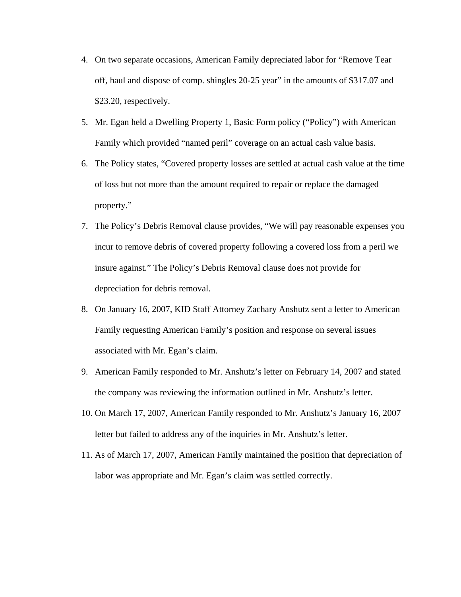- 4. On two separate occasions, American Family depreciated labor for "Remove Tear off, haul and dispose of comp. shingles 20-25 year" in the amounts of \$317.07 and \$23.20, respectively.
- 5. Mr. Egan held a Dwelling Property 1, Basic Form policy ("Policy") with American Family which provided "named peril" coverage on an actual cash value basis.
- 6. The Policy states, "Covered property losses are settled at actual cash value at the time of loss but not more than the amount required to repair or replace the damaged property."
- 7. The Policy's Debris Removal clause provides, "We will pay reasonable expenses you incur to remove debris of covered property following a covered loss from a peril we insure against." The Policy's Debris Removal clause does not provide for depreciation for debris removal.
- 8. On January 16, 2007, KID Staff Attorney Zachary Anshutz sent a letter to American Family requesting American Family's position and response on several issues associated with Mr. Egan's claim.
- 9. American Family responded to Mr. Anshutz's letter on February 14, 2007 and stated the company was reviewing the information outlined in Mr. Anshutz's letter.
- 10. On March 17, 2007, American Family responded to Mr. Anshutz's January 16, 2007 letter but failed to address any of the inquiries in Mr. Anshutz's letter.
- 11. As of March 17, 2007, American Family maintained the position that depreciation of labor was appropriate and Mr. Egan's claim was settled correctly.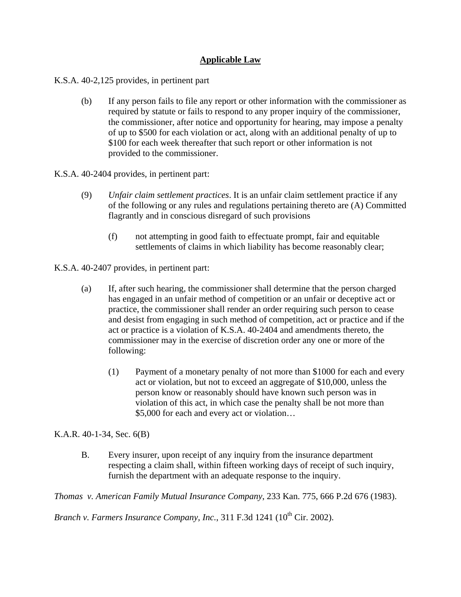## **Applicable Law**

K.S.A. 40-2,125 provides, in pertinent part

- (b) If any person fails to file any report or other information with the commissioner as required by statute or fails to respond to any proper inquiry of the commissioner, the commissioner, after notice and opportunity for hearing, may impose a penalty of up to \$500 for each violation or act, along with an additional penalty of up to \$100 for each week thereafter that such report or other information is not provided to the commissioner.
- K.S.A. 40-2404 provides, in pertinent part:
	- (9) *Unfair claim settlement practices*. It is an unfair claim settlement practice if any of the following or any rules and regulations pertaining thereto are (A) Committed flagrantly and in conscious disregard of such provisions
		- (f) not attempting in good faith to effectuate prompt, fair and equitable settlements of claims in which liability has become reasonably clear;

K.S.A. 40-2407 provides, in pertinent part:

- (a) If, after such hearing, the commissioner shall determine that the person charged has engaged in an unfair method of competition or an unfair or deceptive act or practice, the commissioner shall render an order requiring such person to cease and desist from engaging in such method of competition, act or practice and if the act or practice is a violation of K.S.A. 40-2404 and amendments thereto, the commissioner may in the exercise of discretion order any one or more of the following:
	- (1) Payment of a monetary penalty of not more than \$1000 for each and every act or violation, but not to exceed an aggregate of \$10,000, unless the person know or reasonably should have known such person was in violation of this act, in which case the penalty shall be not more than \$5,000 for each and every act or violation…

K.A.R. 40-1-34, Sec. 6(B)

B. Every insurer, upon receipt of any inquiry from the insurance department respecting a claim shall, within fifteen working days of receipt of such inquiry, furnish the department with an adequate response to the inquiry.

*Thomas v. American Family Mutual Insurance Company*, 233 Kan. 775, 666 P.2d 676 (1983).

*Branch v. Farmers Insurance Company, Inc.,* 311 F.3d 1241 (10<sup>th</sup> Cir. 2002).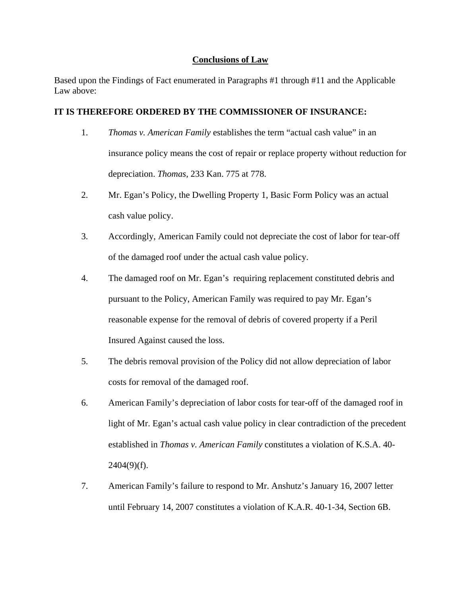### **Conclusions of Law**

Based upon the Findings of Fact enumerated in Paragraphs #1 through #11 and the Applicable Law above:

#### **IT IS THEREFORE ORDERED BY THE COMMISSIONER OF INSURANCE:**

- 1. *Thomas v. American Family* establishes the term "actual cash value" in an insurance policy means the cost of repair or replace property without reduction for depreciation. *Thomas*, 233 Kan. 775 at 778.
- 2. Mr. Egan's Policy, the Dwelling Property 1, Basic Form Policy was an actual cash value policy.
- 3. Accordingly, American Family could not depreciate the cost of labor for tear-off of the damaged roof under the actual cash value policy.
- 4. The damaged roof on Mr. Egan's requiring replacement constituted debris and pursuant to the Policy, American Family was required to pay Mr. Egan's reasonable expense for the removal of debris of covered property if a Peril Insured Against caused the loss.
- 5. The debris removal provision of the Policy did not allow depreciation of labor costs for removal of the damaged roof.
- 6. American Family's depreciation of labor costs for tear-off of the damaged roof in light of Mr. Egan's actual cash value policy in clear contradiction of the precedent established in *Thomas v. American Family* constitutes a violation of K.S.A. 40-  $2404(9)(f)$ .
- 7. American Family's failure to respond to Mr. Anshutz's January 16, 2007 letter until February 14, 2007 constitutes a violation of K.A.R. 40-1-34, Section 6B.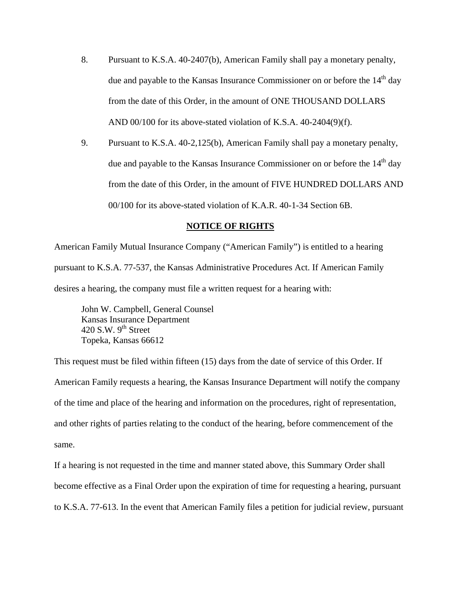- 8. Pursuant to K.S.A. 40-2407(b), American Family shall pay a monetary penalty, due and payable to the Kansas Insurance Commissioner on or before the  $14<sup>th</sup>$  day from the date of this Order, in the amount of ONE THOUSAND DOLLARS AND 00/100 for its above-stated violation of K.S.A. 40-2404(9)(f).
- 9. Pursuant to K.S.A. 40-2,125(b), American Family shall pay a monetary penalty, due and payable to the Kansas Insurance Commissioner on or before the  $14<sup>th</sup>$  day from the date of this Order, in the amount of FIVE HUNDRED DOLLARS AND 00/100 for its above-stated violation of K.A.R. 40-1-34 Section 6B.

#### **NOTICE OF RIGHTS**

American Family Mutual Insurance Company ("American Family") is entitled to a hearing pursuant to K.S.A. 77-537, the Kansas Administrative Procedures Act. If American Family desires a hearing, the company must file a written request for a hearing with:

 John W. Campbell, General Counsel Kansas Insurance Department 420 S.W.  $9<sup>th</sup>$  Street Topeka, Kansas 66612

This request must be filed within fifteen (15) days from the date of service of this Order. If American Family requests a hearing, the Kansas Insurance Department will notify the company of the time and place of the hearing and information on the procedures, right of representation, and other rights of parties relating to the conduct of the hearing, before commencement of the same.

If a hearing is not requested in the time and manner stated above, this Summary Order shall become effective as a Final Order upon the expiration of time for requesting a hearing, pursuant to K.S.A. 77-613. In the event that American Family files a petition for judicial review, pursuant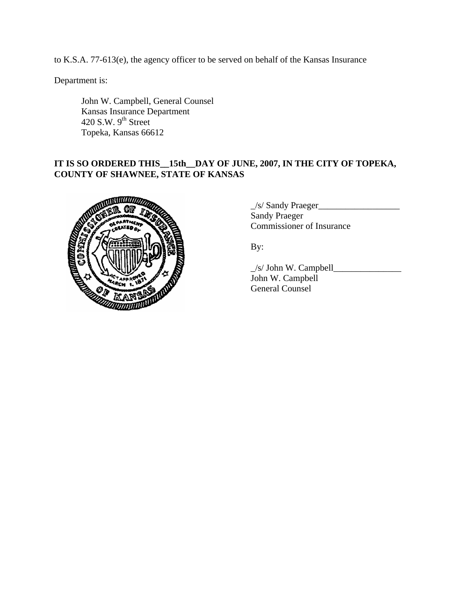to K.S.A. 77-613(e), the agency officer to be served on behalf of the Kansas Insurance

Department is:

 John W. Campbell, General Counsel Kansas Insurance Department 420 S.W.  $9<sup>th</sup>$  Street Topeka, Kansas 66612

# **IT IS SO ORDERED THIS\_\_15th\_\_DAY OF JUNE, 2007, IN THE CITY OF TOPEKA, COUNTY OF SHAWNEE, STATE OF KANSAS**



| $\angle$ s/ Sandy Praeger |  |
|---------------------------|--|
| <b>Sandy Praeger</b>      |  |
| Commissioner of Insurance |  |

By:

 \_/s/ John W. Campbell\_\_\_\_\_\_\_\_\_\_\_\_\_\_\_ John W. Campbell General Counsel